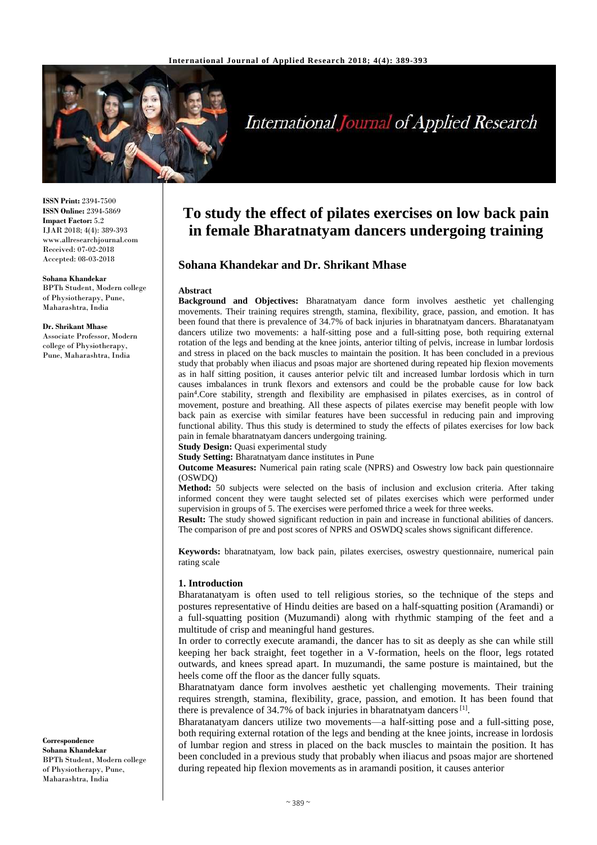

# International Journal of Applied Research

**ISSN Print:** 2394-7500 **ISSN Online:** 2394-5869 **Impact Factor:** 5.2 IJAR 2018; 4(4): 389-393 www.allresearchjournal.com Received: 07-02-2018 Accepted: 08-03-2018

#### **Sohana Khandekar**

BPTh Student, Modern college of Physiotherapy, Pune, Maharashtra, India

#### **Dr. Shrikant Mhase**

Associate Professor, Modern college of Physiotherapy, Pune, Maharashtra, India

**Correspondence Sohana Khandekar** BPTh Student, Modern college of Physiotherapy, Pune, Maharashtra, India

## **To study the effect of pilates exercises on low back pain in female Bharatnatyam dancers undergoing training**

### **Sohana Khandekar and Dr. Shrikant Mhase**

#### **Abstract**

**Background and Objectives:** Bharatnatyam dance form involves aesthetic yet challenging movements. Their training requires strength, stamina, flexibility, grace, passion, and emotion. It has been found that there is prevalence of 34.7% of back injuries in bharatnatyam dancers. Bharatanatyam dancers utilize two movements: a half-sitting pose and a full-sitting pose, both requiring external rotation of the legs and bending at the knee joints, anterior tilting of pelvis, increase in lumbar lordosis and stress in placed on the back muscles to maintain the position. It has been concluded in a previous study that probably when iliacus and psoas major are shortened during repeated hip flexion movements as in half sitting position, it causes anterior pelvic tilt and increased lumbar lordosis which in turn causes imbalances in trunk flexors and extensors and could be the probable cause for low back pain<sup>4</sup> .Core stability, strength and flexibility are emphasised in pilates exercises, as in control of movement, posture and breathing. All these aspects of pilates exercise may benefit people with low back pain as exercise with similar features have been successful in reducing pain and improving functional ability. Thus this study is determined to study the effects of pilates exercises for low back pain in female bharatnatyam dancers undergoing training.

**Study Design:** Quasi experimental study

**Study Setting:** Bharatnatyam dance institutes in Pune

**Outcome Measures:** Numerical pain rating scale (NPRS) and Oswestry low back pain questionnaire (OSWDQ)

**Method:** 50 subjects were selected on the basis of inclusion and exclusion criteria. After taking informed concent they were taught selected set of pilates exercises which were performed under supervision in groups of 5. The exercises were perfomed thrice a week for three weeks.

**Result:** The study showed significant reduction in pain and increase in functional abilities of dancers. The comparison of pre and post scores of NPRS and OSWDQ scales shows significant difference.

**Keywords:** bharatnatyam, low back pain, pilates exercises, oswestry questionnaire, numerical pain rating scale

#### **1. Introduction**

Bharatanatyam is often used to tell religious stories, so the technique of the steps and postures representative of Hindu deities are based on a half-squatting position (Aramandi) or a full-squatting position (Muzumandi) along with rhythmic stamping of the feet and a multitude of crisp and meaningful hand gestures.

In order to correctly execute aramandi, the dancer has to sit as deeply as she can while still keeping her back straight, feet together in a V-formation, heels on the floor, legs rotated outwards, and knees spread apart. In muzumandi, the same posture is maintained, but the heels come off the floor as the dancer fully squats.

Bharatnatyam dance form involves aesthetic yet challenging movements. Their training requires strength, stamina, flexibility, grace, passion, and emotion. It has been found that there is prevalence of 34.7% of back injuries in bharatnatyam dancers  $^{[1]}$ .

Bharatanatyam dancers utilize two movements—a half-sitting pose and a full-sitting pose, both requiring external rotation of the legs and bending at the knee joints, increase in lordosis of lumbar region and stress in placed on the back muscles to maintain the position. It has been concluded in a previous study that probably when iliacus and psoas major are shortened during repeated hip flexion movements as in aramandi position, it causes anterior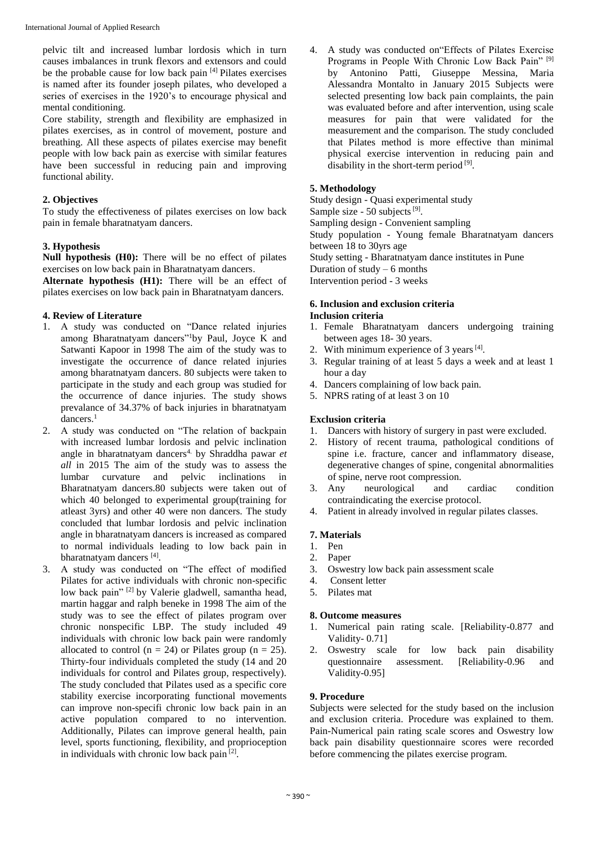pelvic tilt and increased lumbar lordosis which in turn causes imbalances in trunk flexors and extensors and could be the probable cause for low back pain [4] Pilates exercises is named after its founder joseph pilates, who developed a series of exercises in the 1920's to encourage physical and mental conditioning.

Core stability, strength and flexibility are emphasized in pilates exercises, as in control of movement, posture and breathing. All these aspects of pilates exercise may benefit people with low back pain as exercise with similar features have been successful in reducing pain and improving functional ability.

## **2. Objectives**

To study the effectiveness of pilates exercises on low back pain in female bharatnatyam dancers.

## **3. Hypothesis**

**Null hypothesis (H0):** There will be no effect of pilates exercises on low back pain in Bharatnatyam dancers.

**Alternate hypothesis (H1):** There will be an effect of pilates exercises on low back pain in Bharatnatyam dancers.

### **4. Review of Literature**

- 1. A study was conducted on "Dance related injuries among Bharatnatyam dancers"<sup>1</sup>by Paul, Joyce K and Satwanti Kapoor in 1998 The aim of the study was to investigate the occurrence of dance related injuries among bharatnatyam dancers. 80 subjects were taken to participate in the study and each group was studied for the occurrence of dance injuries. The study shows prevalance of 34.37% of back injuries in bharatnatyam dancers.<sup>1</sup>
- 2. A study was conducted on "The relation of backpain with increased lumbar lordosis and pelvic inclination angle in bharatnatyam dancers<sup>4</sup> by Shraddha pawar *et all* in 2015 The aim of the study was to assess the lumbar curvature and pelvic inclinations in Bharatnatyam dancers.80 subjects were taken out of which 40 belonged to experimental group(training for atleast 3yrs) and other 40 were non dancers. The study concluded that lumbar lordosis and pelvic inclination angle in bharatnatyam dancers is increased as compared to normal individuals leading to low back pain in bharatnatyam dancers<sup>[4]</sup>.
- 3. A study was conducted on "The effect of modified Pilates for active individuals with chronic non-specific low back pain" [2] by Valerie gladwell, samantha head, martin haggar and ralph beneke in 1998 The aim of the study was to see the effect of pilates program over chronic nonspecific LBP. The study included 49 individuals with chronic low back pain were randomly allocated to control ( $n = 24$ ) or Pilates group ( $n = 25$ ). Thirty-four individuals completed the study (14 and 20 individuals for control and Pilates group, respectively). The study concluded that Pilates used as a specific core stability exercise incorporating functional movements can improve non-specifi chronic low back pain in an active population compared to no intervention. Additionally, Pilates can improve general health, pain level, sports functioning, flexibility, and proprioception in individuals with chronic low back pain [2].

4. A study was conducted on"Effects of Pilates Exercise Programs in People With Chronic Low Back Pain"<sup>[9]</sup> by Antonino Patti, Giuseppe Messina, Maria Alessandra Montalto in January 2015 Subjects were selected presenting low back pain complaints, the pain was evaluated before and after intervention, using scale measures for pain that were validated for the measurement and the comparison. The study concluded that Pilates method is more effective than minimal physical exercise intervention in reducing pain and disability in the short-term period [9].

### **5. Methodology**

Study design - Quasi experimental study Sample size - 50 subjects<sup>[9]</sup>. Sampling design - Convenient sampling Study population - Young female Bharatnatyam dancers between 18 to 30yrs age Study setting - Bharatnatyam dance institutes in Pune Duration of  $study - 6$  months Intervention period - 3 weeks

### **6. Inclusion and exclusion criteria Inclusion criteria**

- 1. Female Bharatnatyam dancers undergoing training between ages 18- 30 years.
- 2. With minimum experience of 3 years  $[4]$ .
- 3. Regular training of at least 5 days a week and at least 1 hour a day
- 4. Dancers complaining of low back pain.
- 5. NPRS rating of at least 3 on 10

## **Exclusion criteria**

- 1. Dancers with history of surgery in past were excluded.
- 2. History of recent trauma, pathological conditions of spine i.e. fracture, cancer and inflammatory disease, degenerative changes of spine, congenital abnormalities of spine, nerve root compression.
- 3. Any neurological and cardiac condition contraindicating the exercise protocol.
- 4. Patient in already involved in regular pilates classes.

## **7. Materials**

- 1. Pen
- 2. Paper
- 3. Oswestry low back pain assessment scale
- 4. Consent letter
- 5. Pilates mat

### **8. Outcome measures**

- 1. Numerical pain rating scale. [Reliability-0.877 and Validity- 0.71]
- 2. Oswestry scale for low back pain disability questionnaire assessment. [Reliability-0.96 and Validity-0.95]

### **9. Procedure**

Subjects were selected for the study based on the inclusion and exclusion criteria. Procedure was explained to them. Pain-Numerical pain rating scale scores and Oswestry low back pain disability questionnaire scores were recorded before commencing the pilates exercise program.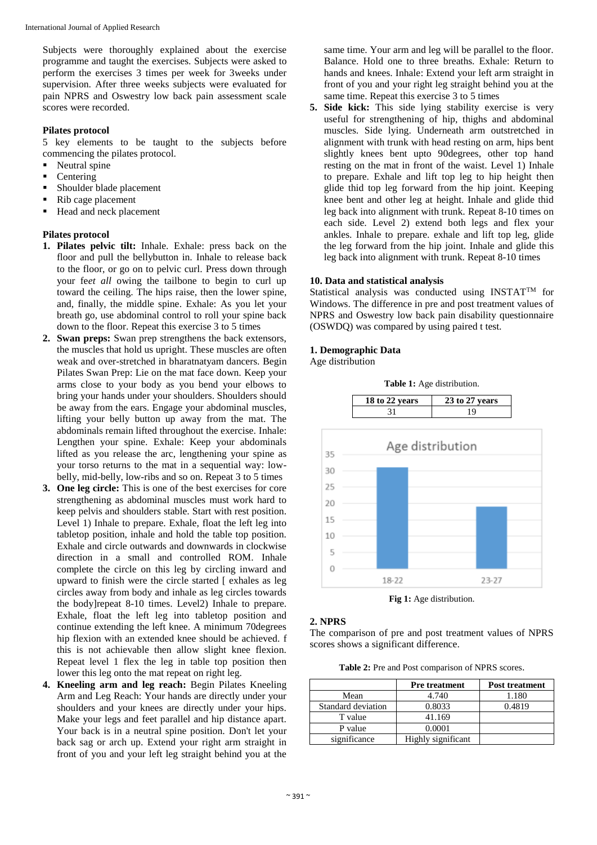Subjects were thoroughly explained about the exercise programme and taught the exercises. Subjects were asked to perform the exercises 3 times per week for 3weeks under supervision. After three weeks subjects were evaluated for pain NPRS and Oswestry low back pain assessment scale scores were recorded.

## **Pilates protocol**

5 key elements to be taught to the subjects before commencing the pilates protocol.

- Neutral spine
- Centering
- **Shoulder blade placement**
- Rib cage placement
- Head and neck placement

## **Pilates protocol**

- **1. Pilates pelvic tilt:** Inhale. Exhale: press back on the floor and pull the bellybutton in. Inhale to release back to the floor, or go on to pelvic curl. Press down through your fe*et all* owing the tailbone to begin to curl up toward the ceiling. The hips raise, then the lower spine, and, finally, the middle spine. Exhale: As you let your breath go, use abdominal control to roll your spine back down to the floor. Repeat this exercise 3 to 5 times
- **2. Swan preps:** Swan prep strengthens the back extensors, the muscles that hold us upright. These muscles are often weak and over-stretched in bharatnatyam dancers. Begin Pilates Swan Prep: Lie on the mat face down. Keep your arms close to your body as you bend your elbows to bring your hands under your shoulders. Shoulders should be away from the ears. Engage your abdominal muscles, lifting your belly button up away from the mat. The abdominals remain lifted throughout the exercise. Inhale: Lengthen your spine. Exhale: Keep your abdominals lifted as you release the arc, lengthening your spine as your torso returns to the mat in a sequential way: lowbelly, mid-belly, low-ribs and so on. Repeat 3 to 5 times
- **3. One leg circle:** This is one of the best exercises for core strengthening as abdominal muscles must work hard to keep pelvis and shoulders stable. Start with rest position. Level 1) Inhale to prepare. Exhale, float the left leg into tabletop position, inhale and hold the table top position. Exhale and circle outwards and downwards in clockwise direction in a small and controlled ROM. Inhale complete the circle on this leg by circling inward and upward to finish were the circle started [ exhales as leg circles away from body and inhale as leg circles towards the body]repeat 8-10 times. Level2) Inhale to prepare. Exhale, float the left leg into tabletop position and continue extending the left knee. A minimum 70degrees hip flexion with an extended knee should be achieved. f this is not achievable then allow slight knee flexion. Repeat level 1 flex the leg in table top position then lower this leg onto the mat repeat on right leg.
- **4. Kneeling arm and leg reach:** Begin Pilates Kneeling Arm and Leg Reach: Your hands are directly under your shoulders and your knees are directly under your hips. Make your legs and feet parallel and hip distance apart. Your back is in a neutral spine position. Don't let your back sag or arch up. Extend your right arm straight in front of you and your left leg straight behind you at the

same time. Your arm and leg will be parallel to the floor. Balance. Hold one to three breaths. Exhale: Return to hands and knees. Inhale: Extend your left arm straight in front of you and your right leg straight behind you at the same time. Repeat this exercise 3 to 5 times

**5. Side kick:** This side lying stability exercise is very useful for strengthening of hip, thighs and abdominal muscles. Side lying. Underneath arm outstretched in alignment with trunk with head resting on arm, hips bent slightly knees bent upto 90degrees, other top hand resting on the mat in front of the waist. Level 1) Inhale to prepare. Exhale and lift top leg to hip height then glide thid top leg forward from the hip joint. Keeping knee bent and other leg at height. Inhale and glide thid leg back into alignment with trunk. Repeat 8-10 times on each side. Level 2) extend both legs and flex your ankles. Inhale to prepare. exhale and lift top leg, glide the leg forward from the hip joint. Inhale and glide this leg back into alignment with trunk. Repeat 8-10 times

## **10. Data and statistical analysis**

Statistical analysis was conducted using INSTAT<sup>TM</sup> for Windows. The difference in pre and post treatment values of NPRS and Oswestry low back pain disability questionnaire (OSWDQ) was compared by using paired t test.

## **1. Demographic Data**

Age distribution



**Fig 1:** Age distribution.

## **2. NPRS**

The comparison of pre and post treatment values of NPRS scores shows a significant difference.

**Table 2:** Pre and Post comparison of NPRS scores.

|                    | <b>Pre treatment</b> | <b>Post treatment</b> |  |
|--------------------|----------------------|-----------------------|--|
| Mean               | 4.740                | 1.180                 |  |
| Standard deviation | 0.8033               | 0.4819                |  |
| T value            | 41.169               |                       |  |
| P value            | 0.0001               |                       |  |
| significance       | Highly significant   |                       |  |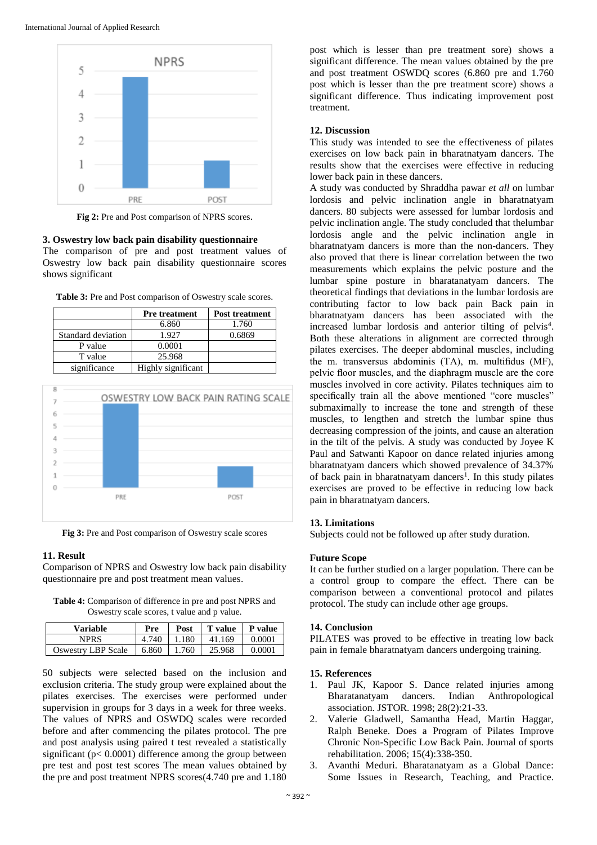

**Fig 2:** Pre and Post comparison of NPRS scores.

#### **3. Oswestry low back pain disability questionnaire**

The comparison of pre and post treatment values of Oswestry low back pain disability questionnaire scores shows significant

|                    | <b>Pre</b> treatment | <b>Post treatment</b> |  |
|--------------------|----------------------|-----------------------|--|
|                    | 6.860                | 1.760                 |  |
| Standard deviation | 1.927                | 0.6869                |  |
| P value            | 0.0001               |                       |  |
| T value            | 25.968               |                       |  |
| significance       | Highly significant   |                       |  |





**Fig 3:** Pre and Post comparison of Oswestry scale scores

#### **11. Result**

Comparison of NPRS and Oswestry low back pain disability questionnaire pre and post treatment mean values.

**Table 4:** Comparison of difference in pre and post NPRS and Oswestry scale scores, t value and p value.

| Variable                  | Pre             | Post  | <b>T</b> value | <b>P</b> value |
|---------------------------|-----------------|-------|----------------|----------------|
| NPRS                      | 4.740           | 1.180 | 41.169         | 0.0001         |
| <b>Oswestry LBP Scale</b> | $6.860$   1.760 |       | 25.968         | 0.0001         |

50 subjects were selected based on the inclusion and exclusion criteria. The study group were explained about the pilates exercises. The exercises were performed under supervision in groups for 3 days in a week for three weeks. The values of NPRS and OSWDQ scales were recorded before and after commencing the pilates protocol. The pre and post analysis using paired t test revealed a statistically significant ( $p < 0.0001$ ) difference among the group between pre test and post test scores The mean values obtained by the pre and post treatment NPRS scores(4.740 pre and 1.180

post which is lesser than pre treatment sore) shows a significant difference. The mean values obtained by the pre and post treatment OSWDQ scores (6.860 pre and 1.760 post which is lesser than the pre treatment score) shows a significant difference. Thus indicating improvement post treatment.

#### **12. Discussion**

This study was intended to see the effectiveness of pilates exercises on low back pain in bharatnatyam dancers. The results show that the exercises were effective in reducing lower back pain in these dancers.

A study was conducted by Shraddha pawar *et all* on lumbar lordosis and pelvic inclination angle in bharatnatyam dancers. 80 subjects were assessed for lumbar lordosis and pelvic inclination angle. The study concluded that thelumbar lordosis angle and the pelvic inclination angle in bharatnatyam dancers is more than the non-dancers. They also proved that there is linear correlation between the two measurements which explains the pelvic posture and the lumbar spine posture in bharatanatyam dancers. The theoretical findings that deviations in the lumbar lordosis are contributing factor to low back pain Back pain in bharatnatyam dancers has been associated with the increased lumbar lordosis and anterior tilting of pelvis<sup>4</sup>. Both these alterations in alignment are corrected through pilates exercises. The deeper abdominal muscles, including the m. transversus abdominis (TA), m. multifidus (MF), pelvic floor muscles, and the diaphragm muscle are the core muscles involved in core activity. Pilates techniques aim to specifically train all the above mentioned "core muscles" submaximally to increase the tone and strength of these muscles, to lengthen and stretch the lumbar spine thus decreasing compression of the joints, and cause an alteration in the tilt of the pelvis. A study was conducted by Joyee K Paul and Satwanti Kapoor on dance related injuries among bharatnatyam dancers which showed prevalence of 34.37% of back pain in bharatnatyam dancers<sup>1</sup>. In this study pilates exercises are proved to be effective in reducing low back pain in bharatnatyam dancers.

#### **13. Limitations**

Subjects could not be followed up after study duration.

#### **Future Scope**

It can be further studied on a larger population. There can be a control group to compare the effect. There can be comparison between a conventional protocol and pilates protocol. The study can include other age groups.

#### **14. Conclusion**

PILATES was proved to be effective in treating low back pain in female bharatnatyam dancers undergoing training.

#### **15. References**

- 1. Paul JK, Kapoor S. Dance related injuries among Bharatanatyam dancers. Indian Anthropological association. JSTOR. 1998; 28(2):21-33.
- 2. Valerie Gladwell, Samantha Head, Martin Haggar, Ralph Beneke. Does a Program of Pilates Improve Chronic Non-Specific Low Back Pain. Journal of sports rehabilitation. 2006; 15(4):338-350.
- 3. Avanthi Meduri. Bharatanatyam as a Global Dance: Some Issues in Research, Teaching, and Practice.